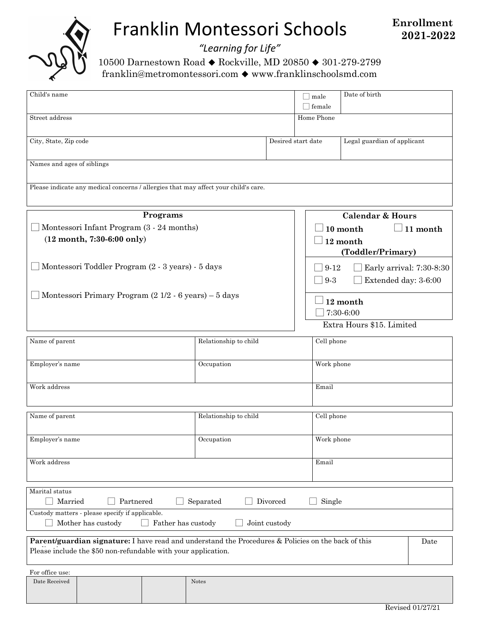

# Franklin Montessori Schools

*"Learning for Life"*

10500 Darnestown Road ♦ Rockville, MD 20850 ♦ 301-279-2799 franklin@metromontessori.com ! www.franklinschoolsmd.com

| Child's name                                                                                                                                                         |                       | male<br>$\Box$ female | Date of birth                        |                                                                        |      |  |
|----------------------------------------------------------------------------------------------------------------------------------------------------------------------|-----------------------|-----------------------|--------------------------------------|------------------------------------------------------------------------|------|--|
| Street address                                                                                                                                                       |                       |                       | Home Phone                           |                                                                        |      |  |
| City, State, Zip code                                                                                                                                                |                       |                       | Desired start date                   | Legal guardian of applicant                                            |      |  |
| Names and ages of siblings                                                                                                                                           |                       |                       |                                      |                                                                        |      |  |
| Please indicate any medical concerns / allergies that may affect your child's care.                                                                                  |                       |                       |                                      |                                                                        |      |  |
| Programs                                                                                                                                                             |                       |                       | <b>Calendar &amp; Hours</b>          |                                                                        |      |  |
| Montessori Infant Program (3 - 24 months)                                                                                                                            |                       |                       | $\Box$ 11 month<br>10 month          |                                                                        |      |  |
| $(12 \text{ month}, 7:30-6:00 \text{ only})$                                                                                                                         |                       |                       | $\Box$ 12 month<br>(Toddler/Primary) |                                                                        |      |  |
| Montessori Toddler Program (2 - 3 years) - 5 days                                                                                                                    |                       |                       | $\Box$ 9-3                           | $\Box$ Early arrival: 7:30-8:30<br>$\Box$ 9-12<br>Extended day: 3-6:00 |      |  |
| Montessori Primary Program (2 1/2 - 6 years) – 5 days                                                                                                                |                       |                       | 12 month<br>7:30-6:00                |                                                                        |      |  |
|                                                                                                                                                                      |                       |                       | Extra Hours \$15. Limited            |                                                                        |      |  |
| Name of parent<br>Relationship to child                                                                                                                              |                       |                       | Cell phone                           |                                                                        |      |  |
| Employer's name<br>Occupation                                                                                                                                        |                       |                       |                                      | Work phone                                                             |      |  |
| Work address                                                                                                                                                         |                       |                       |                                      | Email                                                                  |      |  |
| Name of parent                                                                                                                                                       | Relationship to child |                       |                                      | Cell phone                                                             |      |  |
| Employer's name                                                                                                                                                      | Occupation            |                       |                                      | Work phone                                                             |      |  |
| Work address                                                                                                                                                         |                       |                       | Email                                |                                                                        |      |  |
| Marital status<br>Married<br>Divorced<br>Partnered<br>Separated<br>Single<br>Custody matters - please specify if applicable.                                         |                       |                       |                                      |                                                                        |      |  |
| Mother has custody<br>Father has custody<br>Joint custody                                                                                                            |                       |                       |                                      |                                                                        |      |  |
| Parent/guardian signature: I have read and understand the Procedures & Policies on the back of this<br>Please include the \$50 non-refundable with your application. |                       |                       |                                      |                                                                        | Date |  |
| For office use:                                                                                                                                                      |                       |                       |                                      |                                                                        |      |  |
| Date Received                                                                                                                                                        | Notes                 |                       |                                      |                                                                        |      |  |